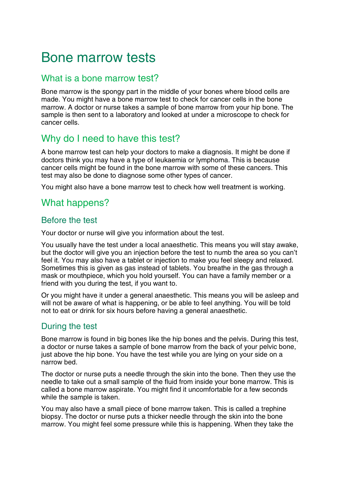# Bone marrow tests

## What is a bone marrow test?

Bone marrow is the spongy part in the middle of your bones where blood cells are made. You might have a bone marrow test to check for cancer cells in the bone marrow. A doctor or nurse takes a sample of bone marrow from your hip bone. The sample is then sent to a laboratory and looked at under a microscope to check for cancer cells.

## Why do I need to have this test?

A bone marrow test can help your doctors to make a diagnosis. It might be done if doctors think you may have a type of leukaemia or lymphoma. This is because cancer cells might be found in the bone marrow with some of these cancers. This test may also be done to diagnose some other types of cancer.

You might also have a bone marrow test to check how well treatment is working.

## What happens?

#### Before the test

Your doctor or nurse will give you information about the test.

You usually have the test under a local anaesthetic. This means you will stay awake, but the doctor will give you an injection before the test to numb the area so you can't feel it. You may also have a tablet or injection to make you feel sleepy and relaxed. Sometimes this is given as gas instead of tablets. You breathe in the gas through a mask or mouthpiece, which you hold yourself. You can have a family member or a friend with you during the test, if you want to.

Or you might have it under a general anaesthetic. This means you will be asleep and will not be aware of what is happening, or be able to feel anything. You will be told not to eat or drink for six hours before having a general anaesthetic.

#### During the test

Bone marrow is found in big bones like the hip bones and the pelvis. During this test, a doctor or nurse takes a sample of bone marrow from the back of your pelvic bone, just above the hip bone. You have the test while you are lying on your side on a narrow bed.

The doctor or nurse puts a needle through the skin into the bone. Then they use the needle to take out a small sample of the fluid from inside your bone marrow. This is called a bone marrow aspirate. You might find it uncomfortable for a few seconds while the sample is taken.

You may also have a small piece of bone marrow taken. This is called a trephine biopsy. The doctor or nurse puts a thicker needle through the skin into the bone marrow. You might feel some pressure while this is happening. When they take the